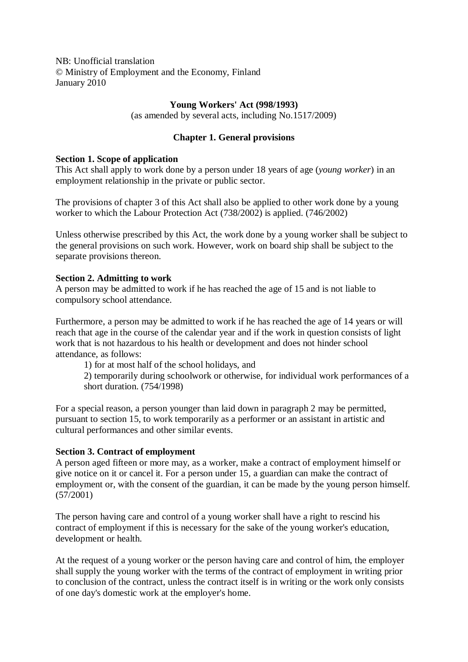NB: Unofficial translation © Ministry of Employment and the Economy, Finland January 2010

# **Young Workers' Act (998/1993)**

(as amended by several acts, including No.1517/2009)

# **Chapter 1. General provisions**

# **Section 1. Scope of application**

This Act shall apply to work done by a person under 18 years of age (*young worker*) in an employment relationship in the private or public sector.

The provisions of chapter 3 of this Act shall also be applied to other work done by a young worker to which the Labour Protection Act (738/2002) is applied. (746/2002)

Unless otherwise prescribed by this Act, the work done by a young worker shall be subject to the general provisions on such work. However, work on board ship shall be subject to the separate provisions thereon.

# **Section 2. Admitting to work**

A person may be admitted to work if he has reached the age of 15 and is not liable to compulsory school attendance.

Furthermore, a person may be admitted to work if he has reached the age of 14 years or will reach that age in the course of the calendar year and if the work in question consists of light work that is not hazardous to his health or development and does not hinder school attendance, as follows:

1) for at most half of the school holidays, and

2) temporarily during schoolwork or otherwise, for individual work performances of a short duration. (754/1998)

For a special reason, a person younger than laid down in paragraph 2 may be permitted, pursuant to section 15, to work temporarily as a performer or an assistant in artistic and cultural performances and other similar events.

# **Section 3. Contract of employment**

A person aged fifteen or more may, as a worker, make a contract of employment himself or give notice on it or cancel it. For a person under 15, a guardian can make the contract of employment or, with the consent of the guardian, it can be made by the young person himself. (57/2001)

The person having care and control of a young worker shall have a right to rescind his contract of employment if this is necessary for the sake of the young worker's education, development or health.

At the request of a young worker or the person having care and control of him, the employer shall supply the young worker with the terms of the contract of employment in writing prior to conclusion of the contract, unless the contract itself is in writing or the work only consists of one day's domestic work at the employer's home.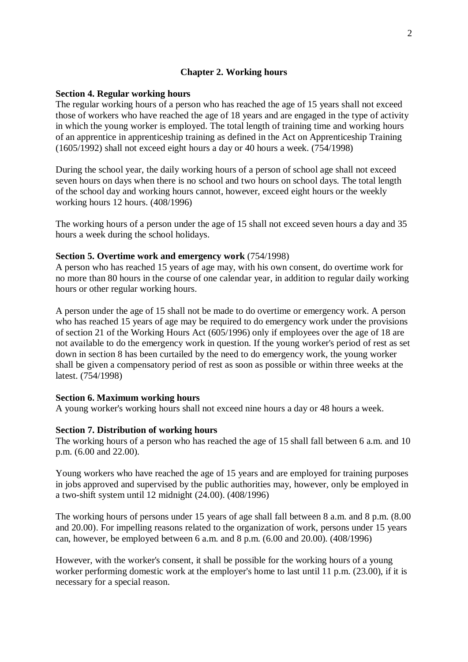# **Chapter 2. Working hours**

# **Section 4. Regular working hours**

The regular working hours of a person who has reached the age of 15 years shall not exceed those of workers who have reached the age of 18 years and are engaged in the type of activity in which the young worker is employed. The total length of training time and working hours of an apprentice in apprenticeship training as defined in the Act on Apprenticeship Training (1605/1992) shall not exceed eight hours a day or 40 hours a week. (754/1998)

During the school year, the daily working hours of a person of school age shall not exceed seven hours on days when there is no school and two hours on school days. The total length of the school day and working hours cannot, however, exceed eight hours or the weekly working hours 12 hours. (408/1996)

The working hours of a person under the age of 15 shall not exceed seven hours a day and 35 hours a week during the school holidays.

## **Section 5. Overtime work and emergency work** (754/1998)

A person who has reached 15 years of age may, with his own consent, do overtime work for no more than 80 hours in the course of one calendar year, in addition to regular daily working hours or other regular working hours.

A person under the age of 15 shall not be made to do overtime or emergency work. A person who has reached 15 years of age may be required to do emergency work under the provisions of section 21 of the Working Hours Act (605/1996) only if employees over the age of 18 are not available to do the emergency work in question. If the young worker's period of rest as set down in section 8 has been curtailed by the need to do emergency work, the young worker shall be given a compensatory period of rest as soon as possible or within three weeks at the latest. (754/1998)

## **Section 6. Maximum working hours**

A young worker's working hours shall not exceed nine hours a day or 48 hours a week.

## **Section 7. Distribution of working hours**

The working hours of a person who has reached the age of 15 shall fall between 6 a.m. and 10 p.m. (6.00 and 22.00).

Young workers who have reached the age of 15 years and are employed for training purposes in jobs approved and supervised by the public authorities may, however, only be employed in a two-shift system until 12 midnight (24.00). (408/1996)

The working hours of persons under 15 years of age shall fall between 8 a.m. and 8 p.m. (8.00 and 20.00). For impelling reasons related to the organization of work, persons under 15 years can, however, be employed between 6 a.m. and 8 p.m. (6.00 and 20.00). (408/1996)

However, with the worker's consent, it shall be possible for the working hours of a young worker performing domestic work at the employer's home to last until 11 p.m. (23.00), if it is necessary for a special reason.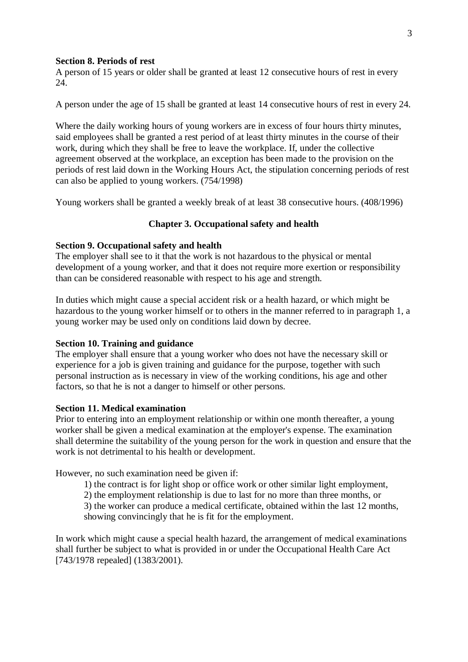## **Section 8. Periods of rest**

A person of 15 years or older shall be granted at least 12 consecutive hours of rest in every 24.

A person under the age of 15 shall be granted at least 14 consecutive hours of rest in every 24.

Where the daily working hours of young workers are in excess of four hours thirty minutes, said employees shall be granted a rest period of at least thirty minutes in the course of their work, during which they shall be free to leave the workplace. If, under the collective agreement observed at the workplace, an exception has been made to the provision on the periods of rest laid down in the Working Hours Act, the stipulation concerning periods of rest can also be applied to young workers. (754/1998)

Young workers shall be granted a weekly break of at least 38 consecutive hours. (408/1996)

## **Chapter 3. Occupational safety and health**

## **Section 9. Occupational safety and health**

The employer shall see to it that the work is not hazardous to the physical or mental development of a young worker, and that it does not require more exertion or responsibility than can be considered reasonable with respect to his age and strength.

In duties which might cause a special accident risk or a health hazard, or which might be hazardous to the young worker himself or to others in the manner referred to in paragraph 1, a young worker may be used only on conditions laid down by decree.

### **Section 10. Training and guidance**

The employer shall ensure that a young worker who does not have the necessary skill or experience for a job is given training and guidance for the purpose, together with such personal instruction as is necessary in view of the working conditions, his age and other factors, so that he is not a danger to himself or other persons.

#### **Section 11. Medical examination**

Prior to entering into an employment relationship or within one month thereafter, a young worker shall be given a medical examination at the employer's expense. The examination shall determine the suitability of the young person for the work in question and ensure that the work is not detrimental to his health or development.

However, no such examination need be given if:

- 1) the contract is for light shop or office work or other similar light employment,
- 2) the employment relationship is due to last for no more than three months, or

3) the worker can produce a medical certificate, obtained within the last 12 months, showing convincingly that he is fit for the employment.

In work which might cause a special health hazard, the arrangement of medical examinations shall further be subject to what is provided in or under the Occupational Health Care Act [743/1978 repealed] (1383/2001).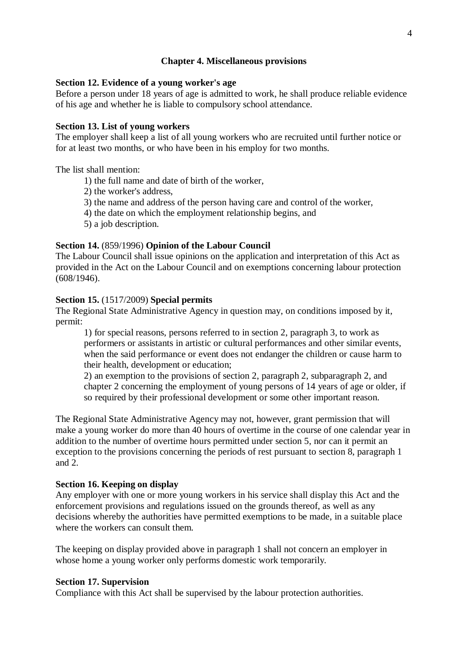## **Chapter 4. Miscellaneous provisions**

# **Section 12. Evidence of a young worker's age**

Before a person under 18 years of age is admitted to work, he shall produce reliable evidence of his age and whether he is liable to compulsory school attendance.

## **Section 13. List of young workers**

The employer shall keep a list of all young workers who are recruited until further notice or for at least two months, or who have been in his employ for two months.

The list shall mention:

- 1) the full name and date of birth of the worker,
- 2) the worker's address,
- 3) the name and address of the person having care and control of the worker,
- 4) the date on which the employment relationship begins, and
- 5) a job description.

# **Section 14.** (859/1996) **Opinion of the Labour Council**

The Labour Council shall issue opinions on the application and interpretation of this Act as provided in the Act on the Labour Council and on exemptions concerning labour protection (608/1946).

#### **Section 15.** (1517/2009) **Special permits**

The Regional State Administrative Agency in question may, on conditions imposed by it, permit:

1) for special reasons, persons referred to in section 2, paragraph 3, to work as performers or assistants in artistic or cultural performances and other similar events, when the said performance or event does not endanger the children or cause harm to their health, development or education;

2) an exemption to the provisions of section 2, paragraph 2, subparagraph 2, and chapter 2 concerning the employment of young persons of 14 years of age or older, if so required by their professional development or some other important reason.

The Regional State Administrative Agency may not, however, grant permission that will make a young worker do more than 40 hours of overtime in the course of one calendar year in addition to the number of overtime hours permitted under section 5, nor can it permit an exception to the provisions concerning the periods of rest pursuant to section 8, paragraph 1 and 2.

#### **Section 16. Keeping on display**

Any employer with one or more young workers in his service shall display this Act and the enforcement provisions and regulations issued on the grounds thereof, as well as any decisions whereby the authorities have permitted exemptions to be made, in a suitable place where the workers can consult them.

The keeping on display provided above in paragraph 1 shall not concern an employer in whose home a young worker only performs domestic work temporarily.

#### **Section 17. Supervision**

Compliance with this Act shall be supervised by the labour protection authorities.